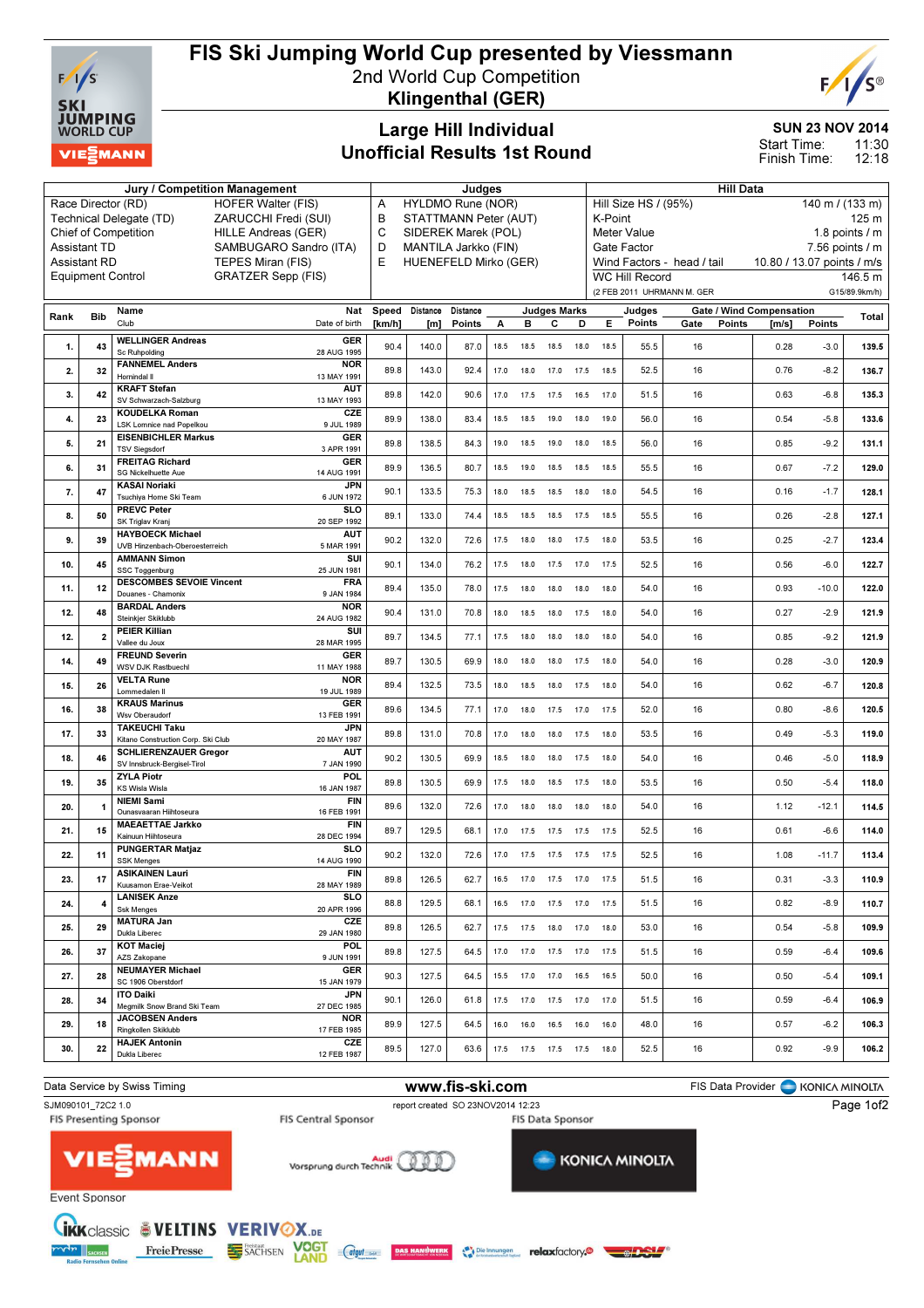

## FIS Ski Jumping World Cup presented by Viessmann

2nd World Cup Competition Klingenthal (GER)



SUN 23 NOV 2014

11:30  $12.18$ Start Time: Finish Time:

### Large Hill Individual Unofficial Results 1st Round

Jury / Competition Management **All Data** Judges All Data Hill Data All Data All Data All Data All Data All Data All Data All Data All Data All Data All Data All Data All Data All Data All Data All Data All Data All Data Al Race Director (RD) HOFER Walter (FIS) Technical Delegate (TD) ZARUCCHI Fredi (SUI) Chief of Competition HILLE Andreas (GER) Assistant TD SAMBUGARO Sandro (ITA)<br>Assistant RD TEPES Miran (FIS) TEPES Miran (FIS) Equipment Control GRATZER Sepp (FIS) A HYLDMO Rune (NOR)<br>B STATTMANN Peter (A STATTMANN Peter (AUT) C SIDEREK Marek (POL) D MANTILA Jarkko (FIN)<br>E HUENEFELD Mirko (G HUENEFELD Mirko (GER) Hill Size HS / (95%) 140 m / (133 m) K-Point 125 m Meter Value 1.8 points / m Gate Factor 7.56 points / m Wind Factors - head / tail 10.80 / 13.07 points / m/s WC Hill Record 146.5 m (2 FEB 2011 UHRMANN M. GER G15/89.9km/h) Rank Bib Name Club Nat Date of birth Speed Distance Distance [km/h] [m] Points Judges Marks A B C D E Judges Points Gate / Wind Compensation Gate Points [m/s] Points Total 1. 43 WELLINGER Andreas Sc Ruhpolding GER 28 AUG 1995 90.4 | 140.0 | 87.0 | 18.5 18.5 18.5 18.0 18.5 | 55.5 | 16 | 16 | 10.28 -3.0 | 139.5 2. 32 FANNEMEL Anders Hornindal Il NOR 13 MAY 1991 89.8 | 143.0 | 92.4 | 17.0 18.0 17.0 17.5 18.5 | 52.5 | 16 | 0.76 -8.2 | **136.7** 3.  $42 \left| \frac{\text{KRATT Stefan}}{\text{SN-Schwarzach SA}} \right|$ ,<br>varzach-Salzburg AUT<br>13 MAY 1993 13 MAY 1993 89.8 142.0 90.6 17.0 17.5 17.5 16.5 17.0 51.5 16 0.63 -6.8 135.3 4. 23 KOUDELKA Roman LSK Lomnice nad Popelko CZE<br>9 JUL 1989 9 JUL 1989 89.9 138.0 83.4 18.5 18.5 19.0 18.0 19.0 56.0 16 0.54 -5.8 133.6 5. 21 EISENBICHLER Markus TSV Siegsdorf GER<br>3 APR 1991 3 APR 1991 89.8 138.5 84.3 19.0 18.5 19.0 18.0 18.5 56.0 16 0.85 -9.2 131.1 6. 31 FREITAG Richard SG Nickelhuette Aue GER 14 AUG 1991 89.9 136.5 80.7 18.5 19.0 18.5 18.5 18.5 55.5 16 16 16 16.5 17.2 **129.0**<br>14 AUG 1991 89.9 16 7. 47 KASAI Noriaki Tsuchiya Home Ski Team JPN<br>6 JUN 1972 6 1.00 1.1 133.5 | 75.3 | 18.0 18.5 18.5 18.0 18.6 | 54.5 | 16 | 0.16 -1.7 | **128.1**<br>6 JUN 1972 | 90.1 | 133.5 | 75.3 | 18.0 18.5 18.6 18.0 | 54.5 | 16 8. 50 PREVC Peter SK Triglav Kranj **SLO**<br>20 SEP 1992 20 SEP 1992 89.1 133.0 74.4 18.5 18.5 18.5 17.5 18.5 55.5 16 16 16 0.26 -2.8 **127.1** 9. 39 HAYBOECK Michael UVB Hinzenbach-Oberoesterreich **AUT**<br>5 MAR 1991 5 MAR 1991 90.2 132.0 72.6 17.5 18.0 18.0 17.5 18.0 53.5 16 0.25 -2.7 123.4 10. 45 AMMANN Simon SSC Toggenburg SUI<br>25 JUN 1981 25 JUN 1981 90.1 134.0 76.2 17.5 18.0 17.5 17.0 17.5 52.5 16 0.56 -6.0 122.7 11. 12 DESCOMBES SEVOIE Vincent Douanes - Chamonix FRA 9 JAN 1984 89.4 135.0 78.0 17.5 18.0 18.0 18.0 18.0 54.0 16 0.93 -10.0 122.0 12. 48 BARDAL Anders Steinkjer Skiklubb **NOR** 24 AUG 1982 90.4 | 131.0 | 70.8 | 18.0 18.5 18.0 17.5 18.0 | 54.0 | 16 | 0.27 -2.9 | 121.9 12. 2 PEIER Killian Vallee du Joux **SUI** 28 MAR 1995 89.7 134.5 77.1 17.5 18.0 18.0 18.0 18.0 54.0 16 0.85 -9.2 121.9 14. 49 FREUND Severin WSV DJK Rastbuechl GER 11 MAY 1988 89.7 | 130.5 | 69.9 | 18.0 18.0 18.0 17.5 18.0 | 54.0 | 16 0.28 -3.0 | **120.9** 15. 26 VELTA Rune Lommedalen Il NOR 19 JUL 1989 89.4 | 132.5 | 73.5 | 18.0 18.5 18.0 17.5 18.0 | 54.0 | 16 | 16 | 0.62 -6.7 | 120.8 16. 38 KRAUS Marinus Wsv Oberaudor GER 13 FEB 1991 89.6 134.5 77.1 17.0 18.0 17.5 17.0 17.5 52.0 16 0.80 -8.6 120.5 17. 33 TAKEUCHI Taku Kitano Construction Corp. Ski Club  $JPN$ <br>20 MAY 1987 20 MAY 1987 89.8 131.0 70.8 17.0 18.0 18.0 17.5 18.0 53.5 16 19.0 0.49 -5.3 119.0 18. 46 SCHLIERENZAUER Gregor SV Innsbruck-Bergisel-Tirol AUT<br>T-JAN 1990 7 JAN 1990 90.2 130.5 69.9 18.5 18.0 18.0 17.5 18.0 54.0 16 0.46 -5.0 118.9 19. 35 ZYLA Piotr KS Wisla Wisla POL<br>16 JAN 1987 16 1987 89.8 130.5 69.9 17.5 18.0 18.5 17.5 18.0 53.5 16 16 16.0 16.50 -5.4 **118.0** 20. 1 NIEMI Sami<br>Ounasvaaran Hiihtoseura **FIN**<br>16 FEB 1991 16 FEB 1991 89.6 132.0 72.6 17.0 18.0 18.0 18.0 18.0 54.0 16 11.12 -12.1 **114.5** 21 15 MAEAETTAE Jarkko Kainuun Hiihtoseura **FIN** 28 DEC 1994 89.7 | 129.5 | 68.1 | 17.0 17.5 17.5 17.5 17.5 | 52.5 | 16 | 0.61 -6.6 | **114.0** 22. 11 PUNGERTAR Matjaz SSK Menges  $\overline{\mathbf{s}}$ 14 AUG 1990 90.2 132.0 72.6 17.0 17.5 17.5 17.5 17.5 52.5 16 16 1.08 -11.7 **113.4** 23. 17 ASIKAINEN Lauri Kuusamon Erae-Veikot **FIN**<br>28 MAY 1989 28 MAY 1989 89.8 126.5 62.7 16.5 17.0 17.5 17.0 17.5 51.5 16 0.31 -3.3 110.9 24. 4 LANISEK Anze Ssk Menges  $\overline{\mathbf{s}}$ 20 APR 1996 88.8 | 129.5 | 68.1 | 16.5 17.0 17.5 17.0 17.5 | 51.5 | 16 | 16 | 0.82 -8.9 | 1**10.7**  $\overline{25}$   $\overline{29}$  MATURA Jan Dukla Liberec **CZE** 29 JAN 1980 89.8 | 126.5 | 62.7 | 17.5 17.5 18.0 17.0 18.0 | 53.0 | 16 | 109.9 | 16 | 109.**9** 26. 37 KOT Maciej AZS Zakopan POL 9 JUN 1991 89.8 | 127.5 | 64.5 | 17.0 17.0 17.5 17.0 17.5 | 51.5 | 16 | 16 | 169.**6** | 169**.6** 27. 28 NEUMAYER Michael SC 1906 Oberstdorf GER 15 JAN 1979 90.3 | 127.5 | 64.5 | 15.5 17.0 17.0 16.5 16.5 | 50.0 | 16 | 0.50 -5.4 | **109.1**  $28.34$  ITO Daiki Megmilk Snow Brand Ski Team **JPN** 27 DEC 1985 90.1 | 126.0 | 61.8 | 17.5 17.0 17.5 17.0 17.0 | 51.5 | 16 | 16 | 16 | 16 | 16 | 9 29. 18 JACOBSEN Anders Ringkollen Skiklubb **NOR** 17 FEB 1985 89.9 | 127.5 | 64.5 | 16.0 16.0 16.5 16.0 16.0 | 48.0 | 16 | 16 | 0.57 -6.2 | 1**06.3** 30. 22 HAJEK Antonin Dukla Liberec CZE<br>12 FEB 1987 12 FEB 1987 89.5 127.0 63.6 17.5 17.5 17.5 17.5 18.0 52.5 16 16 0.92 -9.9 **106.2**